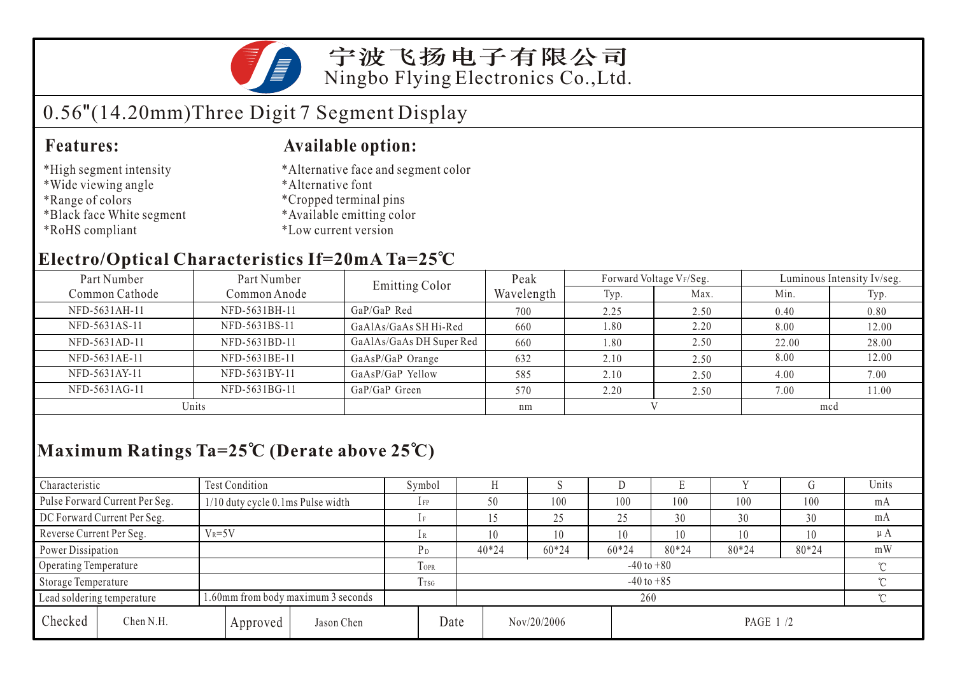

宁波飞扬电子有限公司 Ningbo Flying Electronics Co.,Ltd.

# 0.56"(14.20mm)Three Digit 7 Segment Display

### **Features: Available option:**

- \*High segment intensity
- \*Wide viewing angle
- \*Range of colors
- \*Black face White segment
- \*RoHS compliant

\*Alternative face and segment color

- \*Alternative font
- \*Cropped terminal pins
- \*Available emitting color
- \*Low current version

### **Electro/Optical Characteristics If=20mA Ta=25 C**

| Part Number<br>Part Number |               | <b>Emitting Color</b>    | Peak       | Forward Voltage VF/Seg. |      | Luminous Intensity Iv/seg. |       |  |
|----------------------------|---------------|--------------------------|------------|-------------------------|------|----------------------------|-------|--|
| Common Cathode             | Common Anode  |                          | Wavelength | Typ.                    | Max. | Min.                       | Typ.  |  |
| NFD-5631AH-11              | NFD-5631BH-11 | $GaP/GaP$ Red            | 700        | 2.25                    | 2.50 | 0.40                       | 0.80  |  |
| NFD-5631AS-11              | NFD-5631BS-11 | GaAlAs/GaAs SH Hi-Red    | 660        | 1.80                    | 2.20 | 8.00                       | 12.00 |  |
| NFD-5631AD-11              | NFD-5631BD-11 | GaAlAs/GaAs DH Super Red | 660        | 1.80                    | 2.50 | 22.00                      | 28.00 |  |
| NFD-5631AE-11              | NFD-5631BE-11 | GaAsP/GaP Orange         | 632        | 2.10                    | 2.50 | 8.00                       | 12.00 |  |
| NFD-5631AY-11              | NFD-5631BY-11 | GaAsP/GaP Yellow         | 585        | 2.10                    | 2.50 | 4.00                       | 7.00  |  |
| NFD-5631AG-11              | NFD-5631BG-11 | GaP/GaP Green            | 570        | 2.20                    | 2.50 | 7.00                       | 11.00 |  |
| Units                      |               |                          | nm         |                         |      | mcd                        |       |  |

## **Maximum Ratings Ta=25 C (Derate above 25 C)**

| Characteristic                 |                                        | Test Condition                     |            | Symbol          |                                  |         | ×.      |         | Е     |       |       | Units |
|--------------------------------|----------------------------------------|------------------------------------|------------|-----------------|----------------------------------|---------|---------|---------|-------|-------|-------|-------|
| Pulse Forward Current Per Seg. |                                        | 1/10 duty cycle 0.1ms Pulse width  |            | $1$ FP          |                                  | 50      | 100     | 100     | 100   | 100   | 100   | mA    |
| DC Forward Current Per Seg.    |                                        |                                    |            |                 |                                  |         | 25      | 25      | 30    | 30    | 30    | mA    |
|                                | Reverse Current Per Seg.<br>$V_R = 5V$ |                                    | lR         |                 | 10                               | 10      | 10      | 10      | 10    | 10    | μA    |       |
| Power Dissipation              |                                        |                                    |            | P <sub>D</sub>  |                                  | $40*24$ | $60*24$ | $60*24$ | 80*24 | 80*24 | 80*24 | mW    |
| Operating Temperature          |                                        |                                    |            | TOPR            | $-40$ to $+80$                   |         |         |         |       |       |       |       |
| Storage Temperature            |                                        |                                    |            | T <sub>sg</sub> | $-40$ to $+85$                   |         |         |         |       |       |       |       |
| Lead soldering temperature     |                                        | 1.60mm from body maximum 3 seconds |            |                 |                                  | 260     |         |         |       |       |       |       |
| Checked                        | Chen N.H.                              | Approved                           | Jason Chen |                 | Date<br>Nov/20/2006<br>PAGE 1 /2 |         |         |         |       |       |       |       |